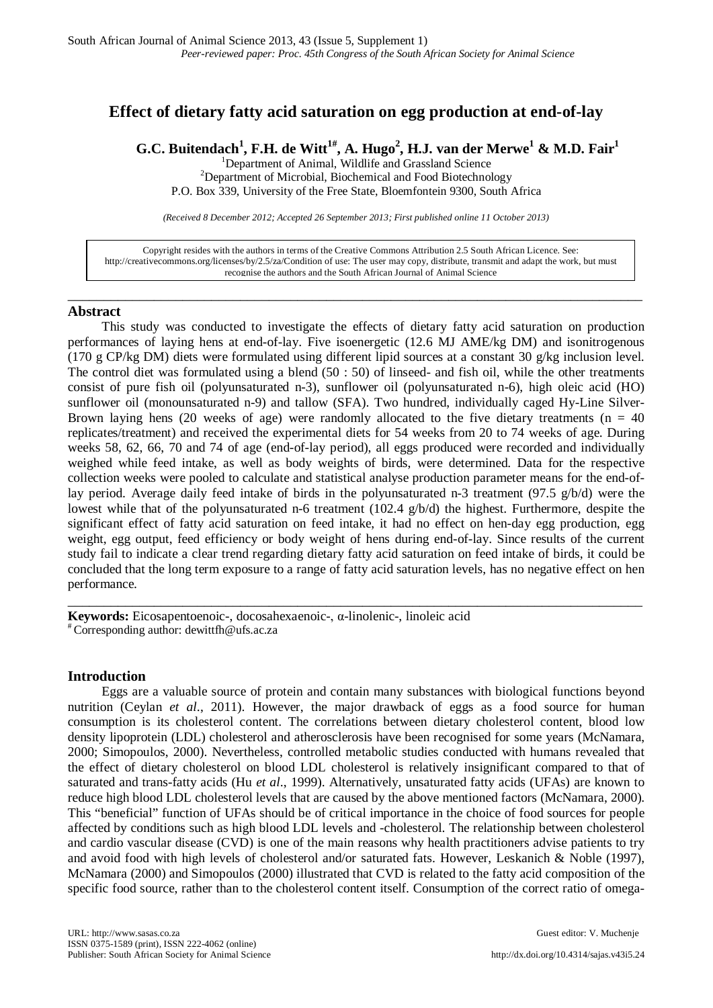# **Effect of dietary fatty acid saturation on egg production at end-of-lay**

 $\mathbf{G}.\mathbf{C}.$  Buitendach $^1$ , F.H. de Witt $^{1\#},$  A. Hugo $^2$ , H.J. van der Merwe $^1$  & M.D. Fair $^1$ 

<sup>1</sup> Department of Animal, Wildlife and Grassland Science<br><sup>2</sup> Department of Microbial, Biochamical and Eood Biotechno <sup>2</sup>Department of Microbial, Biochemical and Food Biotechnology P.O. Box 339, University of the Free State, Bloemfontein 9300, South Africa

*(Received 8 December 2012; Accepted 26 September 2013; First published online 11 October 2013)*

Copyright resides with the authors in terms of the Creative Commons Attribution 2.5 South African Licence. See: [http://creativecommons.org/licenses/by/2.5/za/C](http://creativecommons.org/licenses/by/2.5/za/)ondition of use: The user may copy, distribute, transmit and adapt the work, but must recognise the authors and the South African Journal of Animal Science

\_\_\_\_\_\_\_\_\_\_\_\_\_\_\_\_\_\_\_\_\_\_\_\_\_\_\_\_\_\_\_\_\_\_\_\_\_\_\_\_\_\_\_\_\_\_\_\_\_\_\_\_\_\_\_\_\_\_\_\_\_\_\_\_\_\_\_\_\_\_\_\_\_\_\_\_\_\_\_\_

## **Abstract**

This study was conducted to investigate the effects of dietary fatty acid saturation on production performances of laying hens at end-of-lay. Five isoenergetic (12.6 MJ AME/kg DM) and isonitrogenous (170 g CP/kg DM) diets were formulated using different lipid sources at a constant 30 g/kg inclusion level. The control diet was formulated using a blend (50 : 50) of linseed- and fish oil, while the other treatments consist of pure fish oil (polyunsaturated n-3), sunflower oil (polyunsaturated n-6), high oleic acid (HO) sunflower oil (monounsaturated n-9) and tallow (SFA). Two hundred, individually caged Hy-Line Silver-Brown laying hens (20 weeks of age) were randomly allocated to the five dietary treatments ( $n = 40$ ) replicates/treatment) and received the experimental diets for 54 weeks from 20 to 74 weeks of age. During weeks 58, 62, 66, 70 and 74 of age (end-of-lay period), all eggs produced were recorded and individually weighed while feed intake, as well as body weights of birds, were determined. Data for the respective collection weeks were pooled to calculate and statistical analyse production parameter means for the end-oflay period. Average daily feed intake of birds in the polyunsaturated n-3 treatment (97.5 g/b/d) were the lowest while that of the polyunsaturated n-6 treatment (102.4 g/b/d) the highest. Furthermore, despite the significant effect of fatty acid saturation on feed intake, it had no effect on hen-day egg production, egg weight, egg output, feed efficiency or body weight of hens during end-of-lay. Since results of the current study fail to indicate a clear trend regarding dietary fatty acid saturation on feed intake of birds, it could be concluded that the long term exposure to a range of fatty acid saturation levels, has no negative effect on hen performance.

\_\_\_\_\_\_\_\_\_\_\_\_\_\_\_\_\_\_\_\_\_\_\_\_\_\_\_\_\_\_\_\_\_\_\_\_\_\_\_\_\_\_\_\_\_\_\_\_\_\_\_\_\_\_\_\_\_\_\_\_\_\_\_\_\_\_\_\_\_\_\_\_\_\_\_\_\_\_\_\_

**Keywords:** Eicosapentoenoic-, docosahexaenoic-, α-linolenic-, linoleic acid # Corresponding author: dewittfh@ufs.ac.za

# **Introduction**

Eggs are a valuable source of protein and contain many substances with biological functions beyond nutrition (Ceylan *et al*., 2011). However, the major drawback of eggs as a food source for human consumption is its cholesterol content. The correlations between dietary cholesterol content, blood low density lipoprotein (LDL) cholesterol and atherosclerosis have been recognised for some years (McNamara, 2000; Simopoulos, 2000). Nevertheless, controlled metabolic studies conducted with humans revealed that the effect of dietary cholesterol on blood LDL cholesterol is relatively insignificant compared to that of saturated and trans-fatty acids (Hu *et al*., 1999). Alternatively, unsaturated fatty acids (UFAs) are known to reduce high blood LDL cholesterol levels that are caused by the above mentioned factors (McNamara, 2000). This "beneficial" function of UFAs should be of critical importance in the choice of food sources for people affected by conditions such as high blood LDL levels and -cholesterol. The relationship between cholesterol and cardio vascular disease (CVD) is one of the main reasons why health practitioners advise patients to try and avoid food with high levels of cholesterol and/or saturated fats. However, Leskanich & Noble (1997), McNamara (2000) and Simopoulos (2000) illustrated that CVD is related to the fatty acid composition of the specific food source, rather than to the cholesterol content itself. Consumption of the correct ratio of omega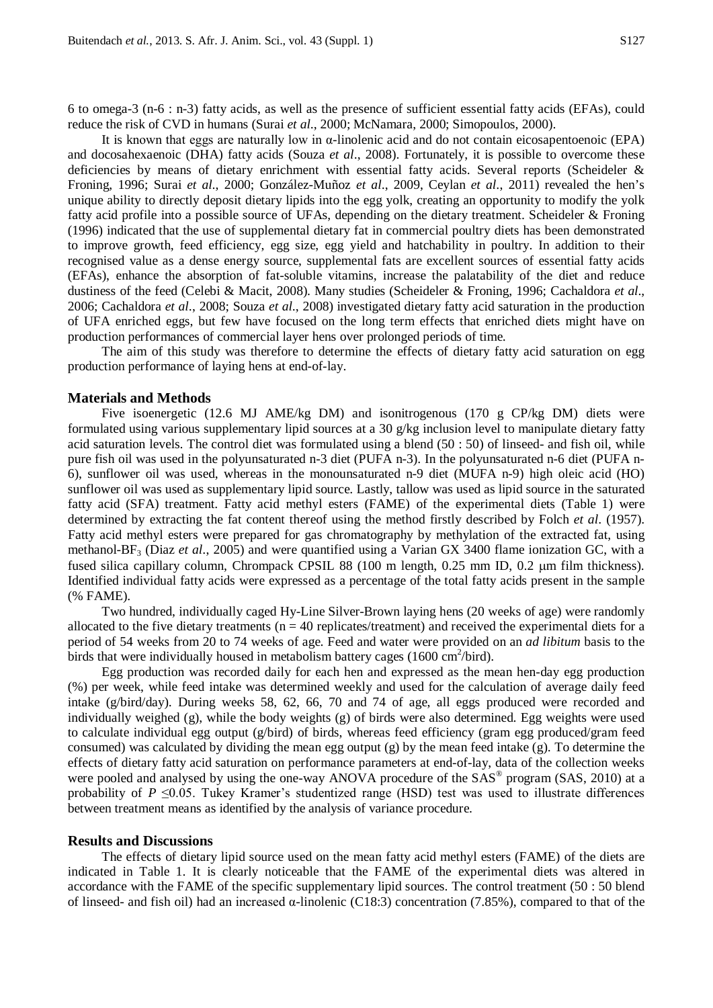6 to omega-3 (n-6 : n-3) fatty acids, as well as the presence of sufficient essential fatty acids (EFAs), could reduce the risk of CVD in humans (Surai *et al*., 2000; McNamara, 2000; Simopoulos, 2000).

It is known that eggs are naturally low in  $\alpha$ -linolenic acid and do not contain eicosapentoenoic (EPA) and docosahexaenoic (DHA) fatty acids (Souza *et al*., 2008). Fortunately, it is possible to overcome these deficiencies by means of dietary enrichment with essential fatty acids. Several reports (Scheideler & Froning, 1996; Surai *et al*., 2000; González-Muñoz *et al*., 2009, Ceylan *et al*., 2011) revealed the hen's unique ability to directly deposit dietary lipids into the egg yolk, creating an opportunity to modify the yolk fatty acid profile into a possible source of UFAs, depending on the dietary treatment. Scheideler & Froning (1996) indicated that the use of supplemental dietary fat in commercial poultry diets has been demonstrated to improve growth, feed efficiency, egg size, egg yield and hatchability in poultry. In addition to their recognised value as a dense energy source, supplemental fats are excellent sources of essential fatty acids (EFAs), enhance the absorption of fat-soluble vitamins, increase the palatability of the diet and reduce dustiness of the feed (Celebi & Macit, 2008). Many studies (Scheideler & Froning, 1996; Cachaldora *et al*., 2006; Cachaldora *et al*., 2008; Souza *et al*., 2008) investigated dietary fatty acid saturation in the production of UFA enriched eggs, but few have focused on the long term effects that enriched diets might have on production performances of commercial layer hens over prolonged periods of time.

The aim of this study was therefore to determine the effects of dietary fatty acid saturation on egg production performance of laying hens at end-of-lay.

#### **Materials and Methods**

Five isoenergetic (12.6 MJ AME/kg DM) and isonitrogenous (170 g CP/kg DM) diets were formulated using various supplementary lipid sources at a 30 g/kg inclusion level to manipulate dietary fatty acid saturation levels. The control diet was formulated using a blend (50 : 50) of linseed- and fish oil, while pure fish oil was used in the polyunsaturated n-3 diet (PUFA n-3). In the polyunsaturated n-6 diet (PUFA n-6), sunflower oil was used, whereas in the monounsaturated n-9 diet (MUFA n-9) high oleic acid (HO) sunflower oil was used as supplementary lipid source. Lastly, tallow was used as lipid source in the saturated fatty acid (SFA) treatment. Fatty acid methyl esters (FAME) of the experimental diets (Table 1) were determined by extracting the fat content thereof using the method firstly described by Folch *et al*. (1957). Fatty acid methyl esters were prepared for gas chromatography by methylation of the extracted fat, using methanol-BF3 (Diaz *et al*., 2005) and were quantified using a Varian GX 3400 flame ionization GC, with a fused silica capillary column, Chrompack CPSIL 88 (100 m length, 0.25 mm ID, 0.2 µm film thickness). Identified individual fatty acids were expressed as a percentage of the total fatty acids present in the sample (% FAME).

Two hundred, individually caged Hy-Line Silver-Brown laying hens (20 weeks of age) were randomly allocated to the five dietary treatments ( $n = 40$  replicates/treatment) and received the experimental diets for a period of 54 weeks from 20 to 74 weeks of age. Feed and water were provided on an *ad libitum* basis to the birds that were individually housed in metabolism battery cages  $(1600 \text{ cm}^2/\text{bird})$ .

Egg production was recorded daily for each hen and expressed as the mean hen-day egg production (%) per week, while feed intake was determined weekly and used for the calculation of average daily feed intake (g/bird/day). During weeks 58, 62, 66, 70 and 74 of age, all eggs produced were recorded and individually weighed (g), while the body weights (g) of birds were also determined. Egg weights were used to calculate individual egg output ( $g/bird$ ) of birds, whereas feed efficiency (gram egg produced/gram feed consumed) was calculated by dividing the mean egg output (g) by the mean feed intake (g). To determine the effects of dietary fatty acid saturation on performance parameters at end-of-lay, data of the collection weeks were pooled and analysed by using the one-way ANOVA procedure of the SAS<sup>®</sup> program (SAS, 2010) at a probability of  $P \leq 0.05$ . Tukey Kramer's studentized range (HSD) test was used to illustrate differences between treatment means as identified by the analysis of variance procedure.

#### **Results and Discussions**

The effects of dietary lipid source used on the mean fatty acid methyl esters (FAME) of the diets are indicated in Table 1. It is clearly noticeable that the FAME of the experimental diets was altered in accordance with the FAME of the specific supplementary lipid sources. The control treatment (50 : 50 blend of linseed- and fish oil) had an increased α-linolenic (C18:3) concentration (7.85%), compared to that of the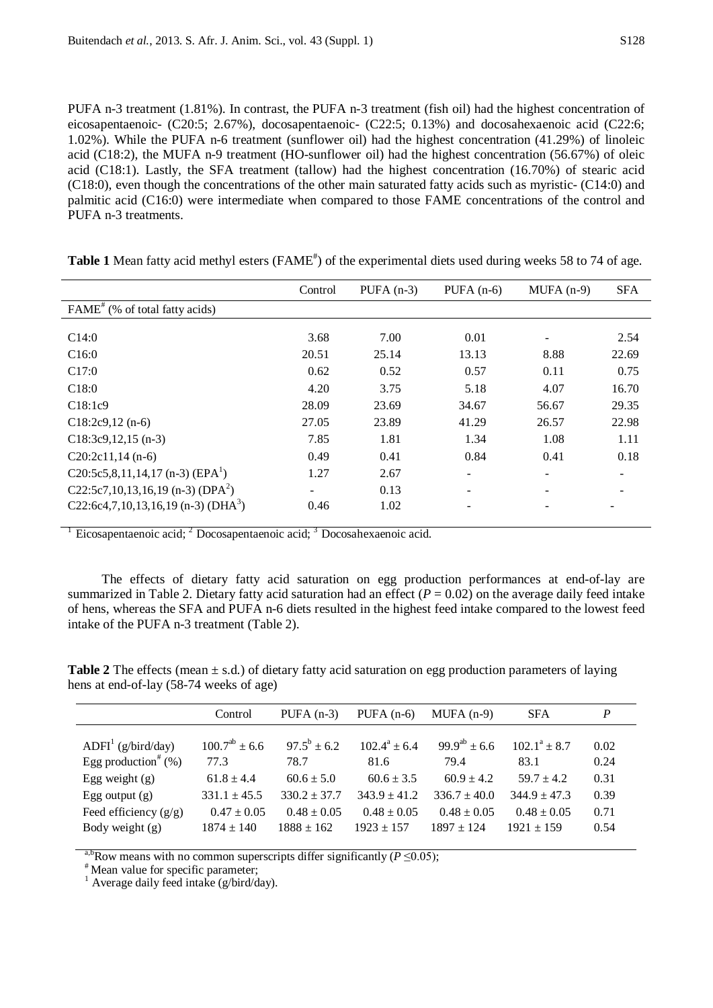PUFA n-3 treatment (1.81%). In contrast, the PUFA n-3 treatment (fish oil) had the highest concentration of eicosapentaenoic- (C20:5; 2.67%), docosapentaenoic- (C22:5; 0.13%) and docosahexaenoic acid (C22:6; 1.02%). While the PUFA n-6 treatment (sunflower oil) had the highest concentration (41.29%) of linoleic acid (C18:2), the MUFA n-9 treatment (HO-sunflower oil) had the highest concentration (56.67%) of oleic acid (C18:1). Lastly, the SFA treatment (tallow) had the highest concentration (16.70%) of stearic acid (C18:0), even though the concentrations of the other main saturated fatty acids such as myristic- (C14:0) and palmitic acid (C16:0) were intermediate when compared to those FAME concentrations of the control and PUFA n-3 treatments.

|                                                   | Control                  | $PUFA(n-3)$ | PUFA $(n-6)$ | $MUPA$ (n-9) | <b>SFA</b> |
|---------------------------------------------------|--------------------------|-------------|--------------|--------------|------------|
| $FAME^*(\% \text{ of total fatty acids})$         |                          |             |              |              |            |
|                                                   |                          |             |              |              |            |
| C14:0                                             | 3.68                     | 7.00        | 0.01         |              | 2.54       |
| C16:0                                             | 20.51                    | 25.14       | 13.13        | 8.88         | 22.69      |
| C17:0                                             | 0.62                     | 0.52        | 0.57         | 0.11         | 0.75       |
| C18:0                                             | 4.20                     | 3.75        | 5.18         | 4.07         | 16.70      |
| C18:1c9                                           | 28.09                    | 23.69       | 34.67        | 56.67        | 29.35      |
| $C18:2c9,12(n-6)$                                 | 27.05                    | 23.89       | 41.29        | 26.57        | 22.98      |
| $C18:3c9,12,15$ (n-3)                             | 7.85                     | 1.81        | 1.34         | 1.08         | 1.11       |
| $C20:2c11,14(n-6)$                                | 0.49                     | 0.41        | 0.84         | 0.41         | 0.18       |
| C20:5c5,8,11,14,17 (n-3) (EPA <sup>1</sup> )      | 1.27                     | 2.67        | ۰            |              |            |
| C22:5c7, 10, 13, 16, 19 (n-3) (DPA <sup>2</sup> ) | $\overline{\phantom{a}}$ | 0.13        |              |              |            |
| C22:6c4,7,10,13,16,19 (n-3) (DHA <sup>3</sup> )   | 0.46                     | 1.02        |              |              |            |

Table 1 Mean fatty acid methyl esters (FAME<sup>#</sup>) of the experimental diets used during weeks 58 to 74 of age.

Eicosapentaenoic acid; <sup>2</sup> Docosapentaenoic acid; <sup>3</sup> Docosahexaenoic acid.

The effects of dietary fatty acid saturation on egg production performances at end-of-lay are summarized in Table 2. Dietary fatty acid saturation had an effect  $(P = 0.02)$  on the average daily feed intake of hens, whereas the SFA and PUFA n-6 diets resulted in the highest feed intake compared to the lowest feed intake of the PUFA n-3 treatment (Table 2).

**Table 2** The effects (mean  $\pm$  s.d.) of dietary fatty acid saturation on egg production parameters of laying hens at end-of-lay (58-74 weeks of age)

|                                    | Control              | PUFA $(n-3)$     | PUFA $(n-6)$    | $MUPA(n-9)$       | <b>SFA</b>       | P    |
|------------------------------------|----------------------|------------------|-----------------|-------------------|------------------|------|
|                                    |                      |                  |                 |                   |                  |      |
| $ADFI1$ (g/bird/day)               | $100.7^{ab} \pm 6.6$ | $97.5^b \pm 6.2$ | $102.4^a + 6.4$ | $99.9^{ab}$ + 6.6 | $102.1^a + 8.7$  | 0.02 |
| Egg production <sup>#</sup> $(\%)$ | 77.3                 | 78.7             | 81.6            | 79.4              | 83.1             | 0.24 |
| Egg weight $(g)$                   | $61.8 \pm 4.4$       | $60.6 \pm 5.0$   | $60.6 \pm 3.5$  | $60.9 \pm 4.2$    | $59.7 \pm 4.2$   | 0.31 |
| Egg output $(g)$                   | $331.1 \pm 45.5$     | $330.2 \pm 37.7$ | $343.9 + 41.2$  | $336.7 + 40.0$    | $344.9 \pm 47.3$ | 0.39 |
| Feed efficiency $(g/g)$            | $0.47 \pm 0.05$      | $0.48 \pm 0.05$  | $0.48 \pm 0.05$ | $0.48 \pm 0.05$   | $0.48 \pm 0.05$  | 0.71 |
| Body weight $(g)$                  | $1874 \pm 140$       | $1888 \pm 162$   | $1923 + 157$    | $1897 + 124$      | $1921 \pm 159$   | 0.54 |

<sup>a,b</sup>Row means with no common superscripts differ significantly (*P* ≤0.05);<br>
<sup>#</sup> Mean value for specific parameter;<br>
<sup>1</sup> Average daily feed intake (g/bird/day).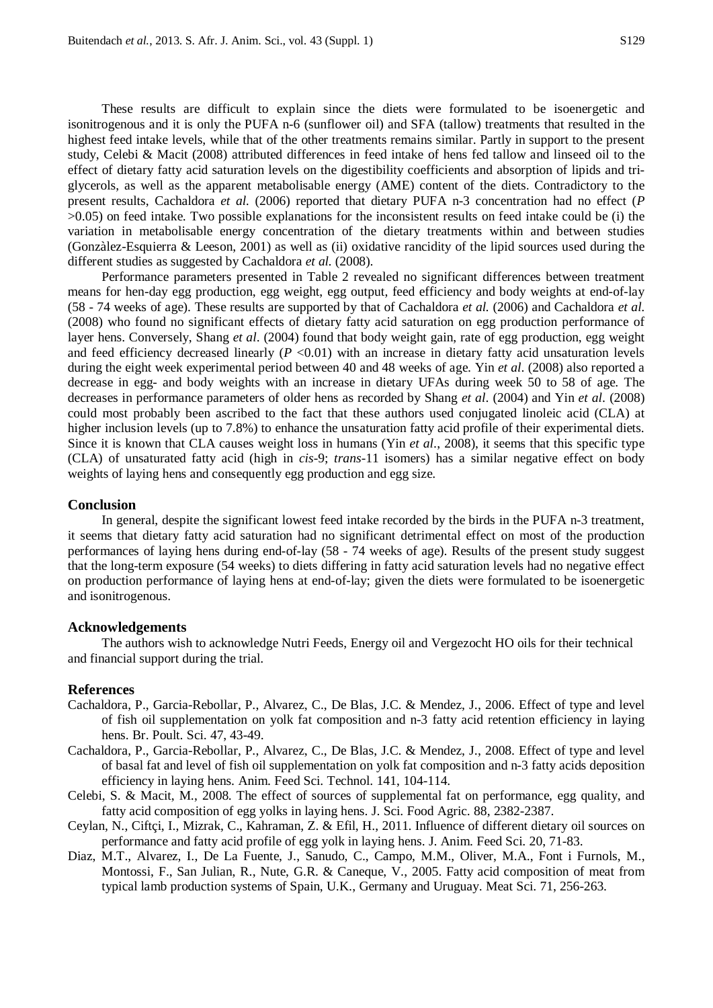These results are difficult to explain since the diets were formulated to be isoenergetic and isonitrogenous and it is only the PUFA n-6 (sunflower oil) and SFA (tallow) treatments that resulted in the highest feed intake levels, while that of the other treatments remains similar. Partly in support to the present study, Celebi & Macit (2008) attributed differences in feed intake of hens fed tallow and linseed oil to the effect of dietary fatty acid saturation levels on the digestibility coefficients and absorption of lipids and triglycerols, as well as the apparent metabolisable energy (AME) content of the diets. Contradictory to the present results, Cachaldora *et al.* (2006) reported that dietary PUFA n-3 concentration had no effect (*P*  $>0.05$ ) on feed intake. Two possible explanations for the inconsistent results on feed intake could be (i) the variation in metabolisable energy concentration of the dietary treatments within and between studies (Gonzàlez-Esquierra & Leeson, 2001) as well as (ii) oxidative rancidity of the lipid sources used during the different studies as suggested by Cachaldora *et al.* (2008).

Performance parameters presented in Table 2 revealed no significant differences between treatment means for hen-day egg production, egg weight, egg output, feed efficiency and body weights at end-of-lay (58 - 74 weeks of age). These results are supported by that of Cachaldora *et al.* (2006) and Cachaldora *et al.* (2008) who found no significant effects of dietary fatty acid saturation on egg production performance of layer hens. Conversely, Shang *et al*. (2004) found that body weight gain, rate of egg production, egg weight and feed efficiency decreased linearly  $(P \le 0.01)$  with an increase in dietary fatty acid unsaturation levels during the eight week experimental period between 40 and 48 weeks of age. Yin *et al*. (2008) also reported a decrease in egg- and body weights with an increase in dietary UFAs during week 50 to 58 of age. The decreases in performance parameters of older hens as recorded by Shang *et al*. (2004) and Yin *et al*. (2008) could most probably been ascribed to the fact that these authors used conjugated linoleic acid (CLA) at higher inclusion levels (up to 7.8%) to enhance the unsaturation fatty acid profile of their experimental diets. Since it is known that CLA causes weight loss in humans (Yin *et al*., 2008), it seems that this specific type (CLA) of unsaturated fatty acid (high in *cis*-9; *trans*-11 isomers) has a similar negative effect on body weights of laying hens and consequently egg production and egg size.

## **Conclusion**

In general, despite the significant lowest feed intake recorded by the birds in the PUFA n-3 treatment, it seems that dietary fatty acid saturation had no significant detrimental effect on most of the production performances of laying hens during end-of-lay (58 - 74 weeks of age). Results of the present study suggest that the long-term exposure (54 weeks) to diets differing in fatty acid saturation levels had no negative effect on production performance of laying hens at end-of-lay; given the diets were formulated to be isoenergetic and isonitrogenous.

#### **Acknowledgements**

The authors wish to acknowledge Nutri Feeds, Energy oil and Vergezocht HO oils for their technical and financial support during the trial.

#### **References**

- Cachaldora, P., Garcia-Rebollar, P., Alvarez, C., De Blas, J.C. & Mendez, J., 2006. Effect of type and level of fish oil supplementation on yolk fat composition and n-3 fatty acid retention efficiency in laying hens. Br. Poult. Sci. 47, 43-49.
- Cachaldora, P., Garcia-Rebollar, P., Alvarez, C., De Blas, J.C. & Mendez, J., 2008. Effect of type and level of basal fat and level of fish oil supplementation on yolk fat composition and n-3 fatty acids deposition efficiency in laying hens. Anim. Feed Sci. Technol. 141, 104-114.
- Celebi, S. & Macit, M., 2008. The effect of sources of supplemental fat on performance, egg quality, and fatty acid composition of egg yolks in laying hens. J. Sci. Food Agric. 88, 2382-2387.
- Ceylan, N., Ciftçi, I., Mizrak, C., Kahraman, Z. & Efil, H., 2011. Influence of different dietary oil sources on performance and fatty acid profile of egg yolk in laying hens. J. Anim. Feed Sci. 20, 71-83.
- Diaz, M.T., Alvarez, I., De La Fuente, J., Sanudo, C., Campo, M.M., Oliver, M.A., Font i Furnols, M., Montossi, F., San Julian, R., Nute, G.R. & Caneque, V., 2005. Fatty acid composition of meat from typical lamb production systems of Spain, U.K., Germany and Uruguay. Meat Sci. 71, 256-263.